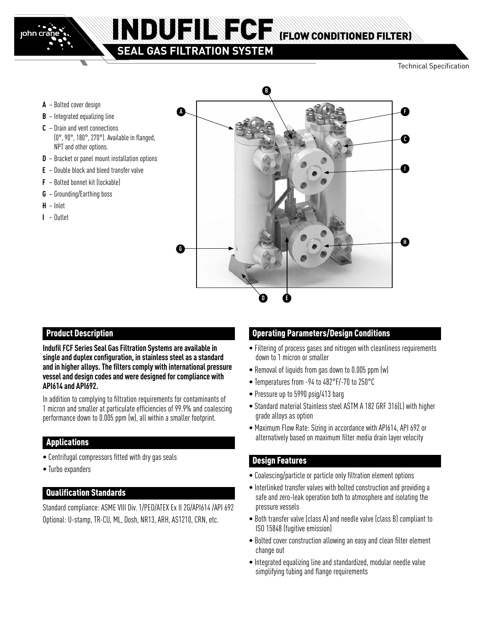

# INDUFIL FCF (FLOW CONDITIONED FILTER)

## **SEAL GAS FILTRATION SYSTEM**

Technical Specification

- **A** Bolted cover design
- **B** Integrated equalizing line
- **C** Drain and vent connections (0°, 90°, 180°, 270°). Available in flanged, NPT and other options.
- **D** Bracket or panel mount installation options
- **E** Double block and bleed transfer valve
- **F** Bolted bonnet kit (lockable)
- **G** Grounding/Earthing boss
- **H** Inlet
- **I** Outlet



## Product Description

**Indufil FCF Series Seal Gas Filtration Systems are available in single and duplex configuration, in stainless steel as a standard and in higher alloys. The filters comply with international pressure vessel and design codes and were designed for compliance with API614 and API692.**

In addition to complying to filtration requirements for contaminants of 1 micron and smaller at particulate efficiencies of 99.9% and coalescing performance down to 0.005 ppm (w), all within a smaller footprint.

## Applications

- Centrifugal compressors fitted with dry gas seals
- Turbo expanders

## Qualification Standards

Standard compliance: ASME VIII Div. 1/PED/ATEX Ex II 2G/API614 /API 692 Optional: U-stamp, TR-CU, ML, Dosh, NR13, ARH, AS1210, CRN, etc.

## Operating Parameters/Design Conditions

- Filtering of process gases and nitrogen with cleanliness requirements down to 1 micron or smaller
- Removal of liquids from gas down to 0.005 ppm (w)
- Temperatures from -94 to 482°F/-70 to 250°C
- Pressure up to 5990 psig/413 barg
- Standard material Stainless steel ASTM A 182 GRF 316(L) with higher grade alloys as option
- Maximum Flow Rate: Sizing in accordance with API614, API 692 or alternatively based on maximum filter media drain layer velocity

## Design Features

- Coalescing/particle or particle only filtration element options
- Interlinked transfer valves with bolted construction and providing a safe and zero-leak operation both to atmosphere and isolating the pressure vessels
- Both transfer valve (class A) and needle valve (class B) compliant to ISO 15848 (fugitive emission)
- Bolted cover construction allowing an easy and clean filter element change out
- Integrated equalizing line and standardized, modular needle valve simplifying tubing and flange requirements